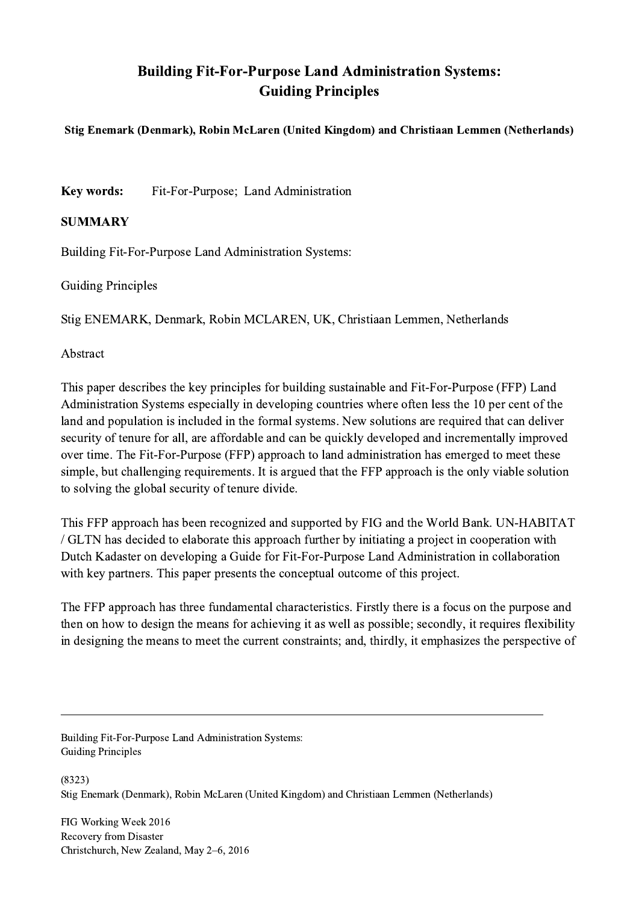## Building Fit-For-Purpose Land Administration Systems: Guiding Principles

## Stig Enemark (Denmark), Robin McLaren (United Kingdom) and Christiaan Lemmen (Netherlands)

Key words: Fit-For-Purpose; Land Administration

## SUMMARY

Building Fit-For-Purpose Land Administration Systems:

Guiding Principles

Stig ENEMARK, Denmark, Robin MCLAREN, UK, Christiaan Lemmen, Netherlands

Abstract

This paper describes the key principles for building sustainable and Fit-For-Purpose (FFP) Land Administration Systems especially in developing countries where often less the 10 per cent of the land and population is included in the formal systems. New solutions are required that can deliver security of tenure for all, are affordable and can be quickly developed and incrementally improved over time. The Fit-For-Purpose (FFP) approach to land administration has emerged to meet these simple, but challenging requirements. It is argued that the FFP approach is the only viable solution to solving the global security of tenure divide.

This FFP approach has been recognized and supported by FIG and the World Bank. UN-HABITAT / GLTN has decided to elaborate this approach further by initiating a project in cooperation with Dutch Kadaster on developing a Guide for Fit-For-Purpose Land Administration in collaboration with key partners. This paper presents the conceptual outcome of this project.

The FFP approach has three fundamental characteristics. Firstly there is a focus on the purpose and then on how to design the means for achieving it as well as possible; secondly, it requires flexibility in designing the means to meet the current constraints; and, thirdly, it emphasizes the perspective of

 $\mathcal{L}_\mathcal{L} = \{ \mathcal{L}_\mathcal{L} = \{ \mathcal{L}_\mathcal{L} = \{ \mathcal{L}_\mathcal{L} = \{ \mathcal{L}_\mathcal{L} = \{ \mathcal{L}_\mathcal{L} = \{ \mathcal{L}_\mathcal{L} = \{ \mathcal{L}_\mathcal{L} = \{ \mathcal{L}_\mathcal{L} = \{ \mathcal{L}_\mathcal{L} = \{ \mathcal{L}_\mathcal{L} = \{ \mathcal{L}_\mathcal{L} = \{ \mathcal{L}_\mathcal{L} = \{ \mathcal{L}_\mathcal{L} = \{ \mathcal{L}_\mathcal{$ 

Building Fit-For-Purpose Land Administration Systems: Guiding Principles

(8323) Stig Enemark (Denmark), Robin McLaren (United Kingdom) and Christiaan Lemmen (Netherlands)

FIG Working Week 2016 Recovery from Disaster Christchurch, New Zealand, May 2–6, 2016